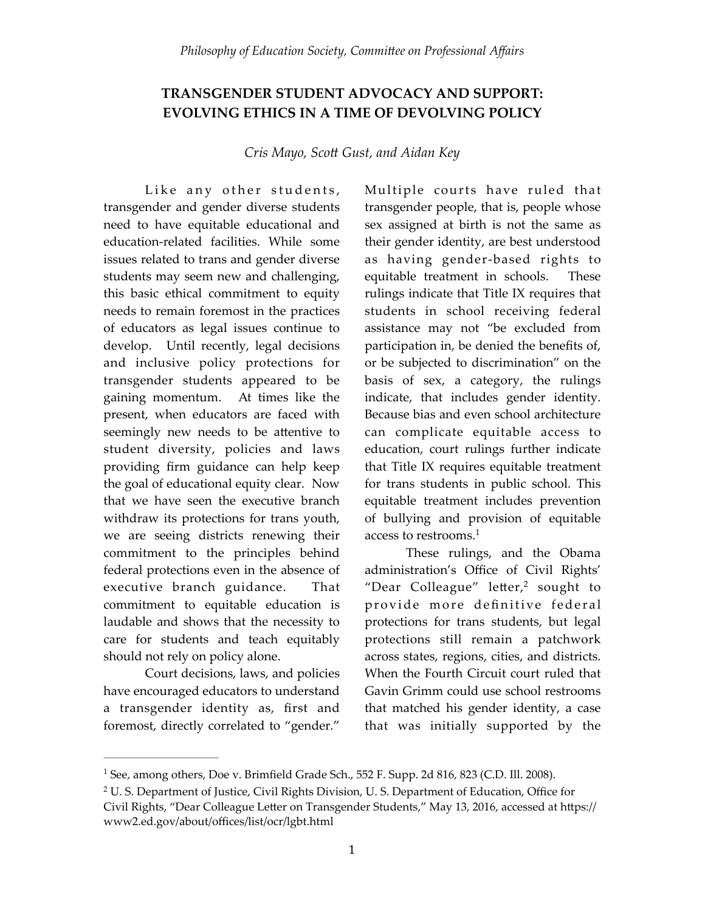## **TRANSGENDER STUDENT ADVOCACY AND SUPPORT: EVOLVING ETHICS IN A TIME OF DEVOLVING POLICY**

*Cris Mayo, Scott Gust, and Aidan Key* 

Like any other students, transgender and gender diverse students need to have equitable educational and education-related facilities. While some issues related to trans and gender diverse students may seem new and challenging, this basic ethical commitment to equity needs to remain foremost in the practices of educators as legal issues continue to develop. Until recently, legal decisions and inclusive policy protections for transgender students appeared to be gaining momentum. At times like the present, when educators are faced with seemingly new needs to be attentive to student diversity, policies and laws providing firm guidance can help keep the goal of educational equity clear. Now that we have seen the executive branch withdraw its protections for trans youth, we are seeing districts renewing their commitment to the principles behind federal protections even in the absence of executive branch guidance. That commitment to equitable education is laudable and shows that the necessity to care for students and teach equitably should not rely on policy alone.

Court decisions, laws, and policies have encouraged educators to understand a transgender identity as, first and foremost, directly correlated to "gender."

Multiple courts have ruled that transgender people, that is, people whose sex assigned at birth is not the same as their gender identity, are best understood as having gender-based rights to equitable treatment in schools. These rulings indicate that Title IX requires that students in school receiving federal assistance may not "be excluded from participation in, be denied the benefits of, or be subjected to discrimination" on the basis of sex, a category, the rulings indicate, that includes gender identity. Because bias and even school architecture can complicate equitable access to education, court rulings further indicate that Title IX requires equitable treatment for trans students in public school. This equitable treatment includes prevention of bullying and provision of equitable access to restrooms.<sup>1</sup>

These rulings, and the Obama administration's Office of Civil Rights' "Dear Colleague" letter, $^2$  sought to provide more definitive federal protections for trans students, but legal protections still remain a patchwork across states, regions, cities, and districts. When the Fourth Circuit court ruled that Gavin Grimm could use school restrooms that matched his gender identity, a case that was initially supported by the

<sup>&</sup>lt;sup>1</sup> See, among others, Doe v. Brimfield Grade Sch., 552 F. Supp. 2d 816, 823 (C.D. Ill. 2008).

<sup>&</sup>lt;sup>2</sup> U. S. Department of Justice, Civil Rights Division, U. S. Department of Education, Office for Civil Rights, "Dear Colleague Letter on Transgender Students," May 13, 2016, accessed at https:// www2.ed.gov/about/offices/list/ocr/lgbt.html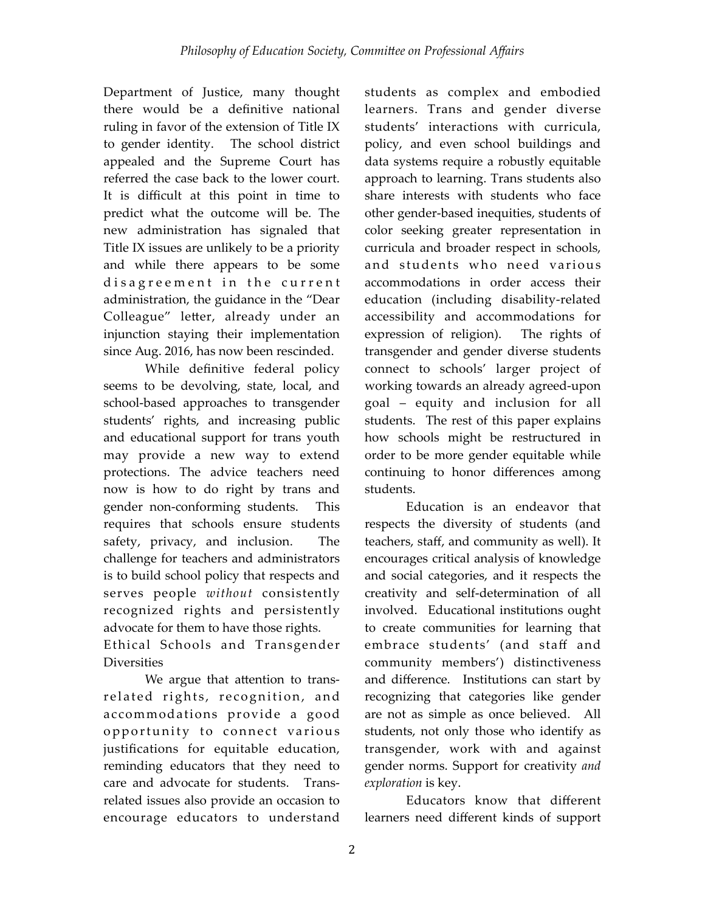Department of Justice, many thought there would be a definitive national ruling in favor of the extension of Title IX to gender identity. The school district appealed and the Supreme Court has referred the case back to the lower court. It is difficult at this point in time to predict what the outcome will be. The new administration has signaled that Title IX issues are unlikely to be a priority and while there appears to be some disagreement in the current administration, the guidance in the "Dear Colleague" letter, already under an injunction staying their implementation since Aug. 2016, has now been rescinded.

While definitive federal policy seems to be devolving, state, local, and school-based approaches to transgender students' rights, and increasing public and educational support for trans youth may provide a new way to extend protections. The advice teachers need now is how to do right by trans and gender non-conforming students. This requires that schools ensure students safety, privacy, and inclusion. The challenge for teachers and administrators is to build school policy that respects and serves people *without* consistently recognized rights and persistently advocate for them to have those rights.

Ethical Schools and Transgender **Diversities** 

We argue that attention to transrelated rights, recognition, and accommodations provide a good opportunity to connect various justifications for equitable education, reminding educators that they need to care and advocate for students. Transrelated issues also provide an occasion to encourage educators to understand students as complex and embodied learners. Trans and gender diverse students' interactions with curricula, policy, and even school buildings and data systems require a robustly equitable approach to learning. Trans students also share interests with students who face other gender-based inequities, students of color seeking greater representation in curricula and broader respect in schools, and students who need various accommodations in order access their education (including disability-related accessibility and accommodations for expression of religion). The rights of transgender and gender diverse students connect to schools' larger project of working towards an already agreed-upon goal – equity and inclusion for all students. The rest of this paper explains how schools might be restructured in order to be more gender equitable while continuing to honor differences among students.

Education is an endeavor that respects the diversity of students (and teachers, staff, and community as well). It encourages critical analysis of knowledge and social categories, and it respects the creativity and self-determination of all involved. Educational institutions ought to create communities for learning that embrace students' (and staff and community members') distinctiveness and difference. Institutions can start by recognizing that categories like gender are not as simple as once believed. All students, not only those who identify as transgender, work with and against gender norms. Support for creativity *and exploration* is key.

Educators know that different learners need different kinds of support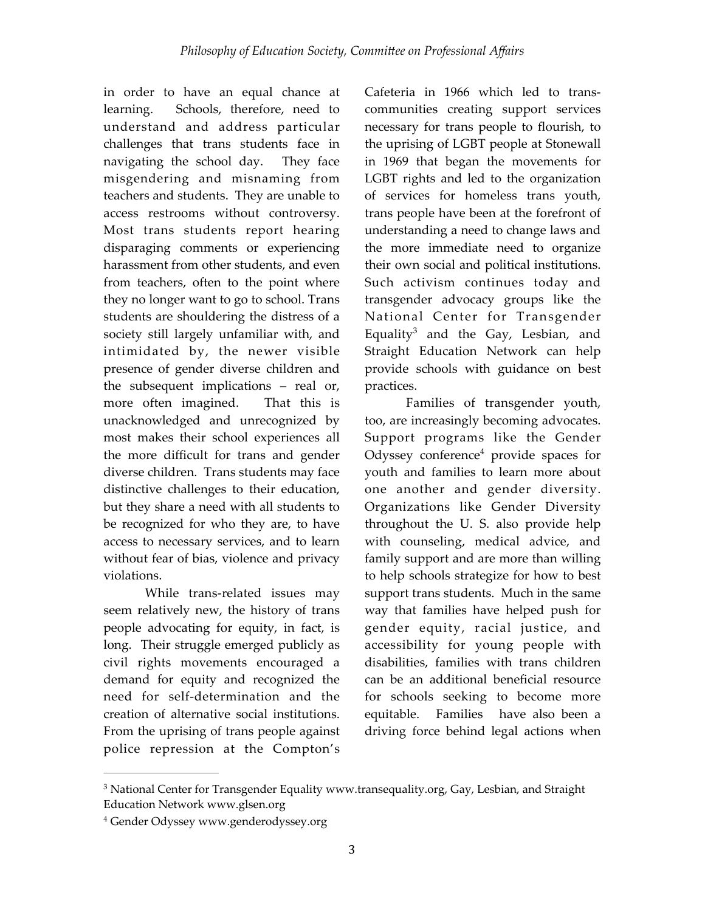in order to have an equal chance at learning. Schools, therefore, need to understand and address particular challenges that trans students face in navigating the school day. They face misgendering and misnaming from teachers and students. They are unable to access restrooms without controversy. Most trans students report hearing disparaging comments or experiencing harassment from other students, and even from teachers, often to the point where they no longer want to go to school. Trans students are shouldering the distress of a society still largely unfamiliar with, and intimidated by, the newer visible presence of gender diverse children and the subsequent implications – real or, more often imagined. That this is unacknowledged and unrecognized by most makes their school experiences all the more difficult for trans and gender diverse children. Trans students may face distinctive challenges to their education, but they share a need with all students to be recognized for who they are, to have access to necessary services, and to learn without fear of bias, violence and privacy violations.

While trans-related issues may seem relatively new, the history of trans people advocating for equity, in fact, is long. Their struggle emerged publicly as civil rights movements encouraged a demand for equity and recognized the need for self-determination and the creation of alternative social institutions. From the uprising of trans people against police repression at the Compton's

Cafeteria in 1966 which led to transcommunities creating support services necessary for trans people to flourish, to the uprising of LGBT people at Stonewall in 1969 that began the movements for LGBT rights and led to the organization of services for homeless trans youth, trans people have been at the forefront of understanding a need to change laws and the more immediate need to organize their own social and political institutions. Such activism continues today and transgender advocacy groups like the National Center for Transgender Equality<sup>3</sup> and the Gay, Lesbian, and Straight Education Network can help provide schools with guidance on best practices.

Families of transgender youth, too, are increasingly becoming advocates. Support programs like the Gender Odyssey conference<sup>4</sup> provide spaces for youth and families to learn more about one another and gender diversity. Organizations like [Gender Diversity](http://genderdiversity.org/) throughout the U. S. also provide help with counseling, medical advice, and family support and are more than willing to help schools strategize for how to best support trans students. Much in the same way that families have helped push for gender equity, racial justice, and accessibility for young people with disabilities, families with trans children can be an additional beneficial resource for schools seeking to become more equitable. Families have also been a driving force behind legal actions when

<sup>&</sup>lt;sup>3</sup> National Center for Transgender Equality www.transequality.org, Gay, Lesbian, and Straight Education Network [www.glsen.org](http://www.glsen.org)

<sup>&</sup>lt;sup>4</sup> Gender Odyssey [www.genderodyssey.org](http://www.genderodyssey.org)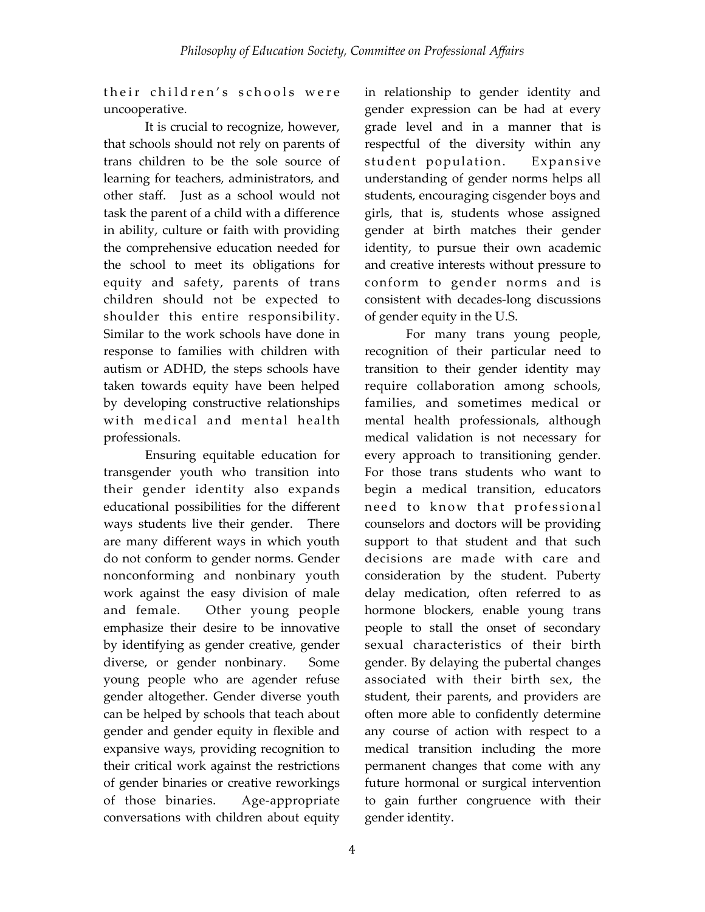their children's schools were uncooperative.

It is crucial to recognize, however, that schools should not rely on parents of trans children to be the sole source of learning for teachers, administrators, and other staff. Just as a school would not task the parent of a child with a difference in ability, culture or faith with providing the comprehensive education needed for the school to meet its obligations for equity and safety, parents of trans children should not be expected to shoulder this entire responsibility. Similar to the work schools have done in response to families with children with autism or ADHD, the steps schools have taken towards equity have been helped by developing constructive relationships with medical and mental health professionals.

Ensuring equitable education for transgender youth who transition into their gender identity also expands educational possibilities for the different ways students live their gender. There are many different ways in which youth do not conform to gender norms. Gender nonconforming and nonbinary youth work against the easy division of male and female. Other young people emphasize their desire to be innovative by identifying as gender creative, gender diverse, or gender nonbinary. Some young people who are agender refuse gender altogether. Gender diverse youth can be helped by schools that teach about gender and gender equity in flexible and expansive ways, providing recognition to their critical work against the restrictions of gender binaries or creative reworkings of those binaries. Age-appropriate conversations with children about equity

in relationship to gender identity and gender expression can be had at every grade level and in a manner that is respectful of the diversity within any student population. Expansive understanding of gender norms helps all students, encouraging cisgender boys and girls, that is, students whose assigned gender at birth matches their gender identity, to pursue their own academic and creative interests without pressure to conform to gender norms and is consistent with decades-long discussions of gender equity in the U.S.

For many trans young people, recognition of their particular need to transition to their gender identity may require collaboration among schools, families, and sometimes medical or mental health professionals, although medical validation is not necessary for every approach to transitioning gender. For those trans students who want to begin a medical transition, educators need to know that professional counselors and doctors will be providing support to that student and that such decisions are made with care and consideration by the student. Puberty delay medication, often referred to as hormone blockers, enable young trans people to stall the onset of secondary sexual characteristics of their birth gender. By delaying the pubertal changes associated with their birth sex, the student, their parents, and providers are often more able to confidently determine any course of action with respect to a medical transition including the more permanent changes that come with any future hormonal or surgical intervention to gain further congruence with their gender identity.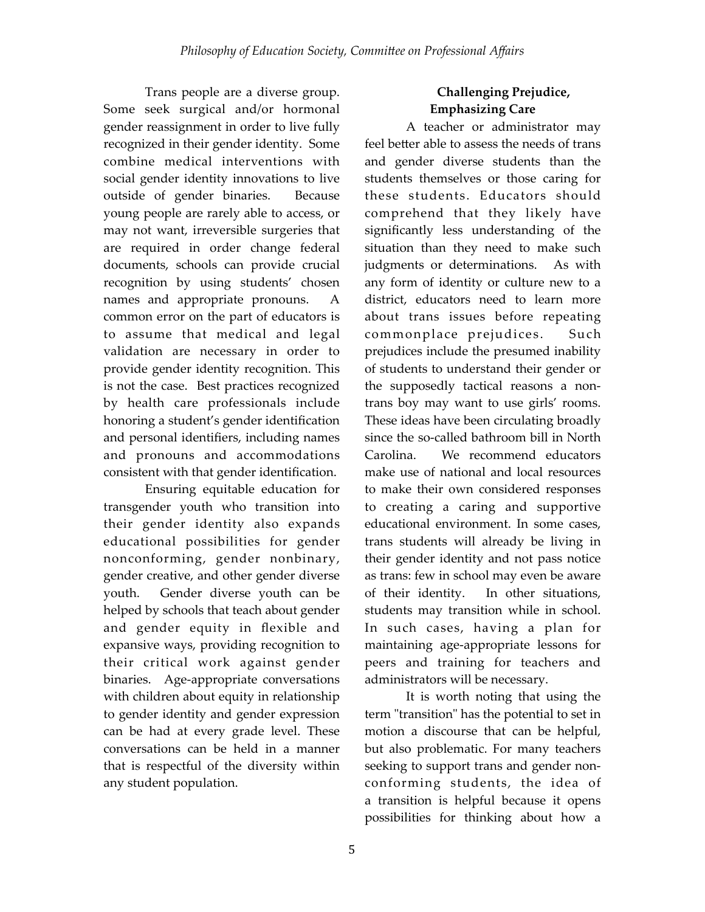Trans people are a diverse group. Some seek surgical and/or hormonal gender reassignment in order to live fully recognized in their gender identity. Some combine medical interventions with social gender identity innovations to live outside of gender binaries. Because young people are rarely able to access, or may not want, irreversible surgeries that are required in order change federal documents, schools can provide crucial recognition by using students' chosen names and appropriate pronouns. A common error on the part of educators is to assume that medical and legal validation are necessary in order to provide gender identity recognition. This is not the case. Best practices recognized by health care professionals include honoring a student's gender identification and personal identifiers, including names and pronouns and accommodations consistent with that gender identification.

Ensuring equitable education for transgender youth who transition into their gender identity also expands educational possibilities for gender nonconforming, gender nonbinary, gender creative, and other gender diverse youth. Gender diverse youth can be helped by schools that teach about gender and gender equity in flexible and expansive ways, providing recognition to their critical work against gender binaries. Age-appropriate conversations with children about equity in relationship to gender identity and gender expression can be had at every grade level. These conversations can be held in a manner that is respectful of the diversity within any student population.

## **Challenging Prejudice, Emphasizing Care**

A teacher or administrator may feel better able to assess the needs of trans and gender diverse students than the students themselves or those caring for these students. Educators should comprehend that they likely have significantly less understanding of the situation than they need to make such judgments or determinations. As with any form of identity or culture new to a district, educators need to learn more about trans issues before repeating commonplace prejudices. Such prejudices include the presumed inability of students to understand their gender or the supposedly tactical reasons a nontrans boy may want to use girls' rooms. These ideas have been circulating broadly since the so-called bathroom bill in North Carolina. We recommend educators make use of national and local resources to make their own considered responses to creating a caring and supportive educational environment. In some cases, trans students will already be living in their gender identity and not pass notice as trans: few in school may even be aware of their identity. In other situations, students may transition while in school. In such cases, having a plan for maintaining age-appropriate lessons for peers and training for teachers and administrators will be necessary.

It is worth noting that using the term "transition" has the potential to set in motion a discourse that can be helpful, but also problematic. For many teachers seeking to support trans and gender nonconforming students, the idea of a transition is helpful because it opens possibilities for thinking about how a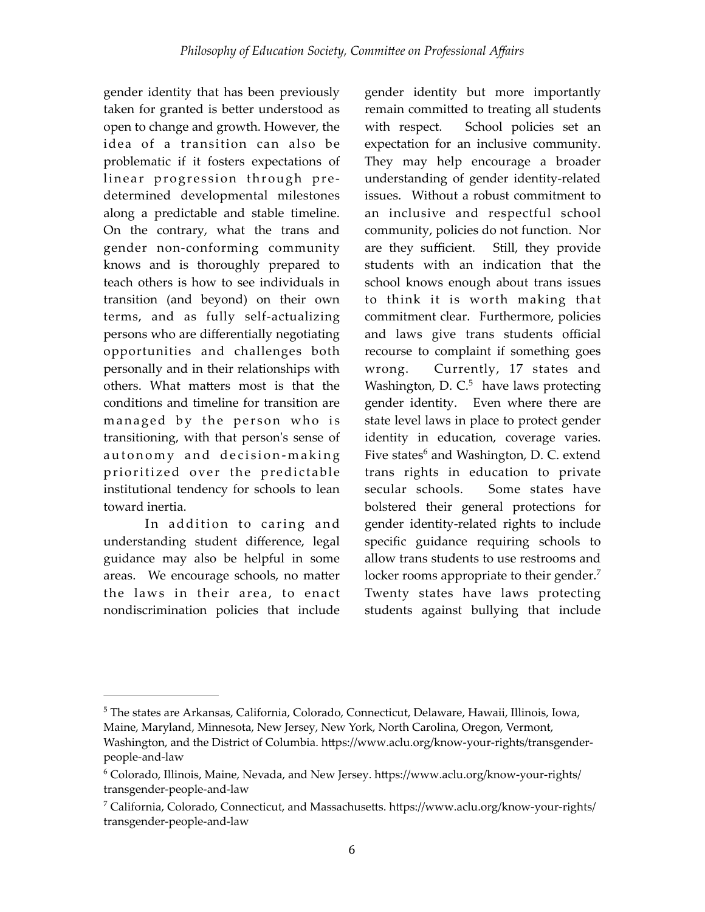gender identity that has been previously taken for granted is better understood as open to change and growth. However, the idea of a transition can also be problematic if it fosters expectations of linear progression through predetermined developmental milestones along a predictable and stable timeline. On the contrary, what the trans and gender non-conforming community knows and is thoroughly prepared to teach others is how to see individuals in transition (and beyond) on their own terms, and as fully self-actualizing persons who are differentially negotiating opportunities and challenges both personally and in their relationships with others. What matters most is that the conditions and timeline for transition are managed by the person who is transitioning, with that person's sense of autonomy and decision-making prioritized over the predictable institutional tendency for schools to lean toward inertia.

In addition to caring and understanding student difference, legal guidance may also be helpful in some areas. We encourage schools, no matter the laws in their area, to enact nondiscrimination policies that include

gender identity but more importantly remain committed to treating all students with respect. School policies set an expectation for an inclusive community. They may help encourage a broader understanding of gender identity-related issues. Without a robust commitment to an inclusive and respectful school community, policies do not function. Nor are they sufficient. Still, they provide students with an indication that the school knows enough about trans issues to think it is worth making that commitment clear. Furthermore, policies and laws give trans students official recourse to complaint if something goes wrong. Currently, 17 states and Washington, D.  $C<sup>5</sup>$  have laws protecting gender identity. Even where there are state level laws in place to protect gender identity in education, coverage varies. Five states $6$  and Washington, D. C. extend trans rights in education to private secular schools. Some states have bolstered their general protections for gender identity-related rights to include specific guidance requiring schools to allow trans students to use restrooms and locker rooms appropriate to their gender.<sup>7</sup> Twenty states have laws protecting students against bullying that include

 $5$ The states are Arkansas, California, Colorado, Connecticut, Delaware, Hawaii, Illinois, Iowa, Maine, Maryland, Minnesota, New Jersey, New York, North Carolina, Oregon, Vermont, Washington, and the District of Columbia. https://www.aclu.org/know-your-rights/transgenderpeople-and-law

 $6$  Colorado, Illinois, Maine, Nevada, and New Jersey. https://www.aclu.org/know-your-rights/ transgender-people-and-law

 $^7$  California, Colorado, Connecticut, and Massachusetts. https://www.aclu.org/know-your-rights/ transgender-people-and-law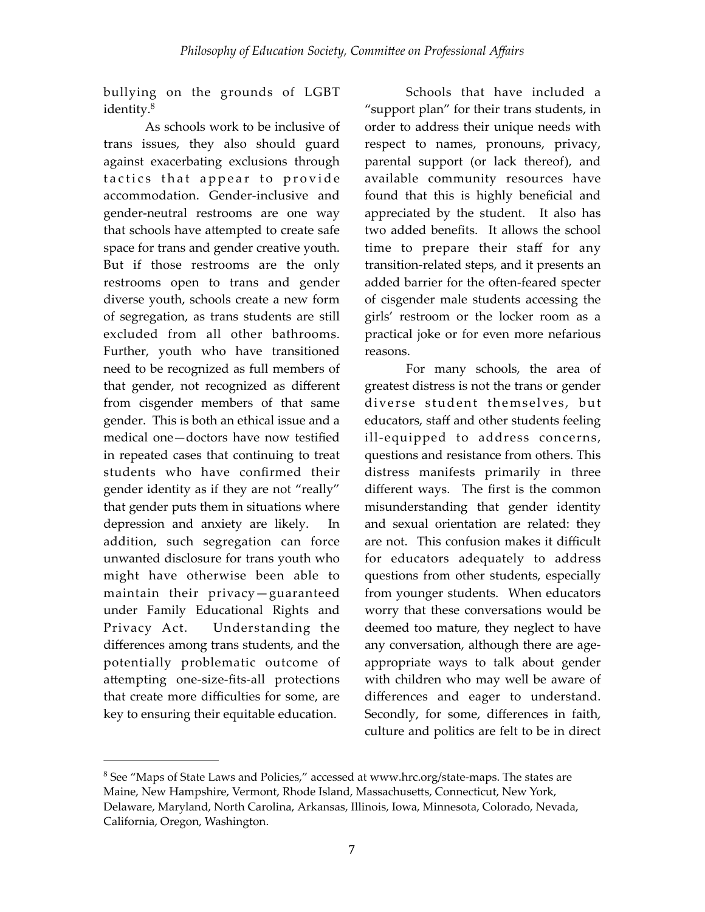bullying on the grounds of LGBT identity.<sup>8</sup>

As schools work to be inclusive of trans issues, they also should guard against exacerbating exclusions through tactics that appear to provide accommodation. Gender-inclusive and gender-neutral restrooms are one way that schools have attempted to create safe space for trans and gender creative youth. But if those restrooms are the only restrooms open to trans and gender diverse youth, schools create a new form of segregation, as trans students are still excluded from all other bathrooms. Further, youth who have transitioned need to be recognized as full members of that gender, not recognized as different from cisgender members of that same gender. This is both an ethical issue and a medical one—doctors have now testified in repeated cases that continuing to treat students who have confirmed their gender identity as if they are not "really" that gender puts them in situations where depression and anxiety are likely. In addition, such segregation can force unwanted disclosure for trans youth who might have otherwise been able to maintain their privacy—guaranteed under Family Educational Rights and Privacy Act. Understanding the differences among trans students, and the potentially problematic outcome of attempting one-size-fits-all protections that create more difficulties for some, are key to ensuring their equitable education.

Schools that have included a "support plan" for their trans students, in order to address their unique needs with respect to names, pronouns, privacy, parental support (or lack thereof), and available community resources have found that this is highly beneficial and appreciated by the student. It also has two added benefits. It allows the school time to prepare their staff for any transition-related steps, and it presents an added barrier for the often-feared specter of cisgender male students accessing the girls' restroom or the locker room as a practical joke or for even more nefarious reasons.

For many schools, the area of greatest distress is not the trans or gender diverse student themselves, but educators, staff and other students feeling ill-equipped to address concerns, questions and resistance from others. This distress manifests primarily in three different ways. The first is the common misunderstanding that gender identity and sexual orientation are related: they are not. This confusion makes it difficult for educators adequately to address questions from other students, especially from younger students. When educators worry that these conversations would be deemed too mature, they neglect to have any conversation, although there are ageappropriate ways to talk about gender with children who may well be aware of differences and eager to understand. Secondly, for some, differences in faith, culture and politics are felt to be in direct

 $8$  See "Maps of State Laws and Policies," accessed at [www.hrc.org/state-maps.](http://www.hrc.org/state-maps) The states are Maine, New Hampshire, Vermont, Rhode Island, Massachusetts, Connecticut, New York, Delaware, Maryland, North Carolina, Arkansas, Illinois, Iowa, Minnesota, Colorado, Nevada, California, Oregon, Washington.